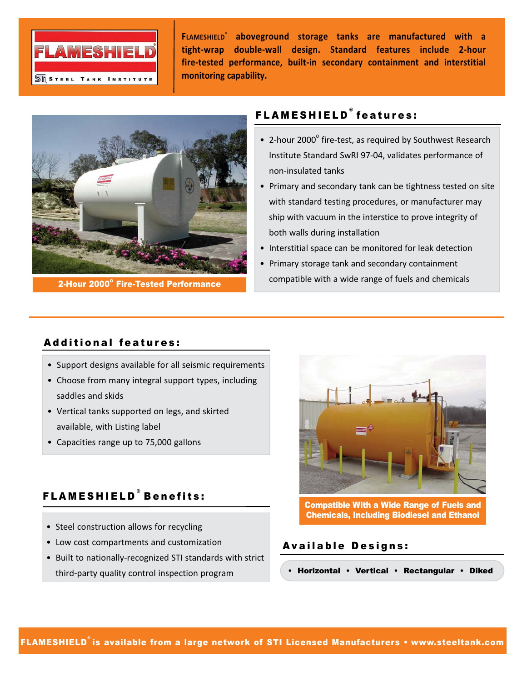

**FLAMESHIELD® aboveground storage tanks are manufactured with a tight‐wrap double‐wall design. Standard features include 2‐hour fire‐tested performance, built‐in secondary containment and interstitial monitoring capability.**



2-Hour 2000° Fire-Tested Performance

## FLAMESHIELD ® features:

- 2-hour 2000 $^{\circ}$  fire-test, as required by Southwest Research Institute Standard SwRI 97‐04, validates performance of non‐insulated tanks
- Primary and secondary tank can be tightness tested on site with standard testing procedures, or manufacturer may ship with vacuum in the interstice to prove integrity of both walls during installation
- Interstitial space can be monitored for leak detection
- Primary storage tank and secondary containment compatible with a wide range of fuels and chemicals

## Additional features:

- Support designs available for all seismic requirements
- Choose from many integral support types, including saddles and skids
- Vertical tanks supported on legs, and skirted available, with Listing label
- Capacities range up to 75,000 gallons

# FLAMESHIELD ® Benefits:

- Steel construction allows for recycling
- Low cost compartments and customization
- Built to nationally‐recognized STI standards with strict third‐party quality control inspection program



Compatible With a Wide Range of Fuels and Chemicals, Including Biodiesel and Ethanol

## Available Designs:

• Horizontal • Vertical • Rectangular • Diked